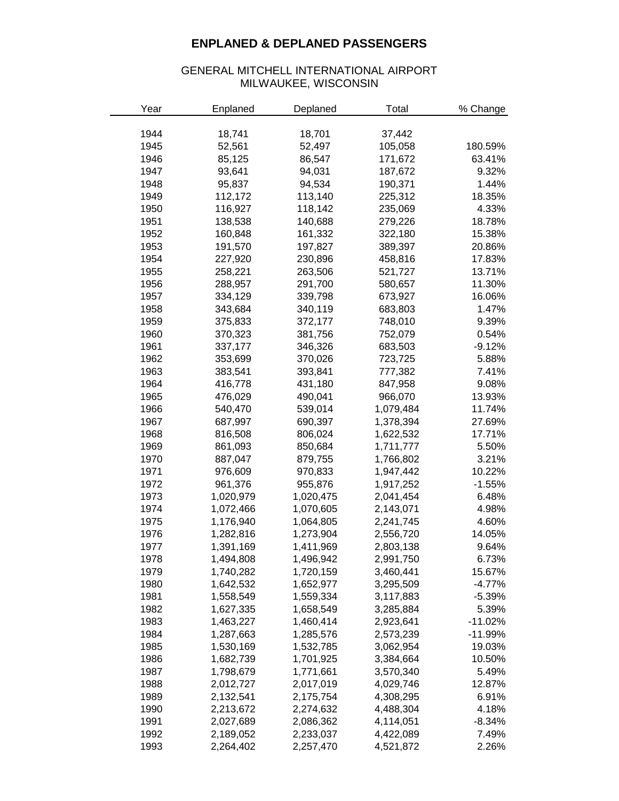## **ENPLANED & DEPLANED PASSENGERS**

## GENERAL MITCHELL INTERNATIONAL AIRPORT MILWAUKEE, WISCONSIN

| Year | Enplaned  | Deplaned  | Total     | % Change  |
|------|-----------|-----------|-----------|-----------|
|      |           |           |           |           |
| 1944 | 18,741    | 18,701    | 37,442    |           |
| 1945 | 52,561    | 52,497    | 105,058   | 180.59%   |
| 1946 | 85,125    | 86,547    | 171,672   | 63.41%    |
| 1947 | 93,641    | 94,031    | 187,672   | 9.32%     |
| 1948 | 95,837    | 94,534    | 190,371   | 1.44%     |
| 1949 | 112,172   | 113,140   | 225,312   | 18.35%    |
| 1950 | 116,927   | 118,142   | 235,069   | 4.33%     |
| 1951 | 138,538   | 140,688   | 279,226   | 18.78%    |
| 1952 | 160,848   | 161,332   | 322,180   | 15.38%    |
| 1953 | 191,570   | 197,827   | 389,397   | 20.86%    |
| 1954 | 227,920   | 230,896   | 458,816   | 17.83%    |
| 1955 | 258,221   | 263,506   | 521,727   | 13.71%    |
| 1956 | 288,957   | 291,700   | 580,657   | 11.30%    |
| 1957 | 334,129   | 339,798   | 673,927   | 16.06%    |
| 1958 | 343,684   | 340,119   | 683,803   | 1.47%     |
| 1959 | 375,833   | 372,177   | 748,010   | 9.39%     |
| 1960 | 370,323   | 381,756   | 752,079   | 0.54%     |
| 1961 | 337,177   | 346,326   | 683,503   | $-9.12%$  |
| 1962 | 353,699   | 370,026   | 723,725   | 5.88%     |
| 1963 | 383,541   | 393,841   | 777,382   | 7.41%     |
| 1964 | 416,778   | 431,180   | 847,958   | 9.08%     |
| 1965 | 476,029   | 490,041   | 966,070   | 13.93%    |
| 1966 | 540,470   | 539,014   | 1,079,484 | 11.74%    |
| 1967 | 687,997   | 690,397   | 1,378,394 | 27.69%    |
| 1968 | 816,508   | 806,024   | 1,622,532 | 17.71%    |
| 1969 | 861,093   | 850,684   | 1,711,777 | 5.50%     |
| 1970 | 887,047   | 879,755   | 1,766,802 | 3.21%     |
| 1971 | 976,609   | 970,833   | 1,947,442 | 10.22%    |
| 1972 | 961,376   | 955,876   | 1,917,252 | $-1.55%$  |
| 1973 | 1,020,979 | 1,020,475 | 2,041,454 | 6.48%     |
| 1974 | 1,072,466 | 1,070,605 | 2,143,071 | 4.98%     |
| 1975 | 1,176,940 | 1,064,805 | 2,241,745 | 4.60%     |
| 1976 | 1,282,816 | 1,273,904 | 2,556,720 | 14.05%    |
| 1977 | 1,391,169 | 1,411,969 | 2,803,138 | 9.64%     |
| 1978 | 1,494,808 | 1,496,942 | 2,991,750 | 6.73%     |
| 1979 | 1,740,282 | 1,720,159 | 3,460,441 | 15.67%    |
| 1980 | 1,642,532 | 1,652,977 | 3,295,509 | $-4.77%$  |
| 1981 | 1,558,549 | 1,559,334 | 3,117,883 | $-5.39%$  |
| 1982 | 1,627,335 | 1,658,549 | 3,285,884 | 5.39%     |
| 1983 | 1,463,227 | 1,460,414 | 2,923,641 | $-11.02%$ |
| 1984 | 1,287,663 | 1,285,576 | 2,573,239 | $-11.99%$ |
| 1985 | 1,530,169 | 1,532,785 | 3,062,954 | 19.03%    |
| 1986 | 1,682,739 | 1,701,925 | 3,384,664 | 10.50%    |
| 1987 | 1,798,679 | 1,771,661 | 3,570,340 | 5.49%     |
| 1988 | 2,012,727 | 2,017,019 | 4,029,746 | 12.87%    |
| 1989 | 2,132,541 | 2,175,754 | 4,308,295 | 6.91%     |
| 1990 | 2,213,672 | 2,274,632 | 4,488,304 | 4.18%     |
| 1991 | 2,027,689 | 2,086,362 | 4,114,051 | $-8.34%$  |
| 1992 | 2,189,052 | 2,233,037 | 4,422,089 | 7.49%     |
| 1993 | 2,264,402 | 2,257,470 | 4,521,872 | 2.26%     |
|      |           |           |           |           |